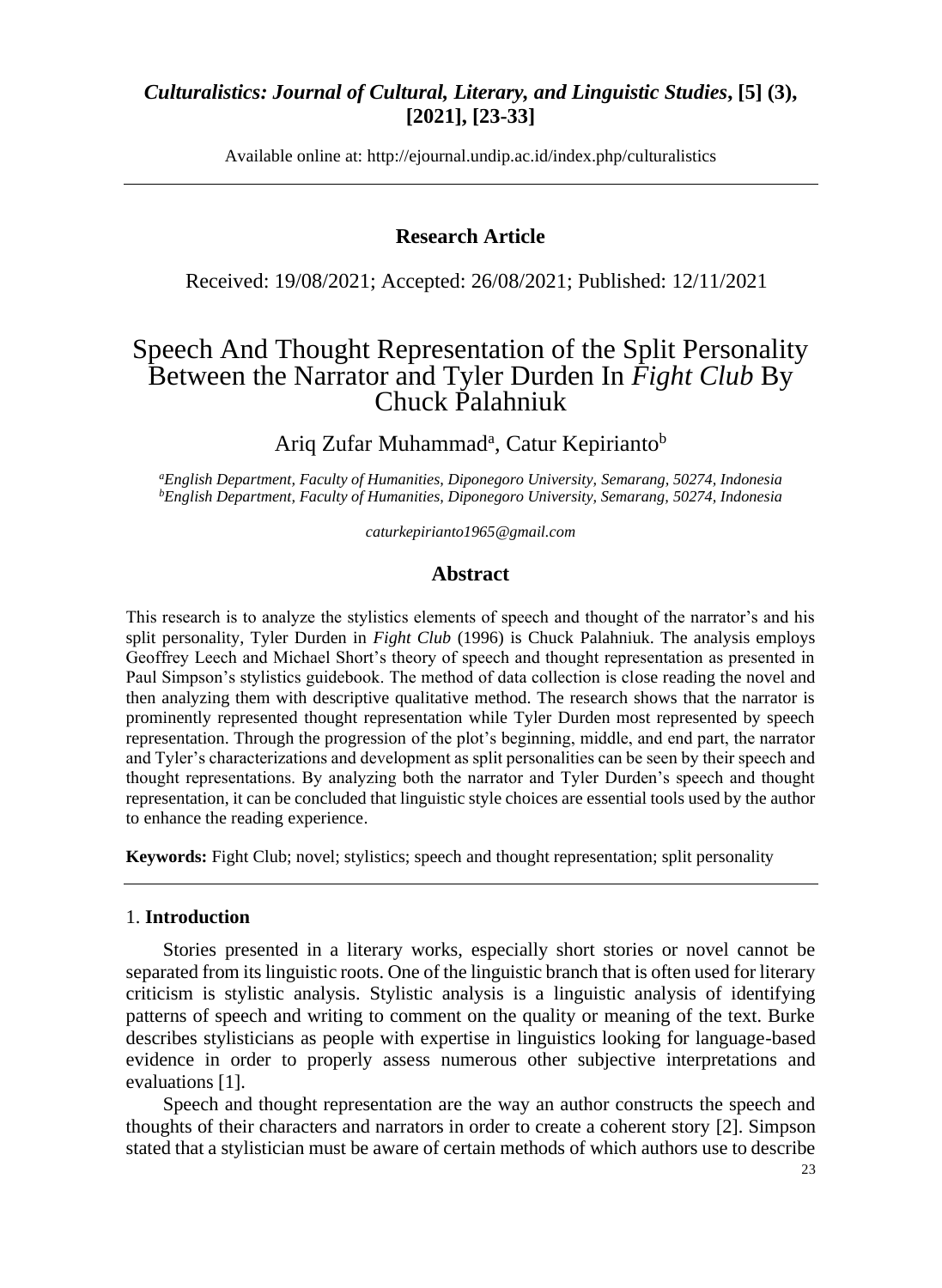Available online at: [http://ejournal.undip.ac.id/index.php/c](http://ejournal.undip.ac.id/index.php/)ulturalistics

### **Research Article**

Received: 19/08/2021; Accepted: 26/08/2021; Published: 12/11/2021

# Speech And Thought Representation of the Split Personality Between the Narrator and Tyler Durden In *Fight Club* By Chuck Palahniuk

Ariq Zufar Muhammad<sup>a</sup>, Catur Kepirianto<sup>b</sup>

*<sup>a</sup>English Department, Faculty of Humanities, Diponegoro University, Semarang, 50274, Indonesia <sup>b</sup>English Department, Faculty of Humanities, Diponegoro University, Semarang, 50274, Indonesia*

*caturkepirianto1965@gmail.com*

### **Abstract**

This research is to analyze the stylistics elements of speech and thought of the narrator's and his split personality, Tyler Durden in *Fight Club* (1996) is Chuck Palahniuk. The analysis employs Geoffrey Leech and Michael Short's theory of speech and thought representation as presented in Paul Simpson's stylistics guidebook. The method of data collection is close reading the novel and then analyzing them with descriptive qualitative method. The research shows that the narrator is prominently represented thought representation while Tyler Durden most represented by speech representation. Through the progression of the plot's beginning, middle, and end part, the narrator and Tyler's characterizations and development as split personalities can be seen by their speech and thought representations. By analyzing both the narrator and Tyler Durden's speech and thought representation, it can be concluded that linguistic style choices are essential tools used by the author to enhance the reading experience.

**Keywords:** Fight Club; novel; stylistics; speech and thought representation; split personality

#### 1. **Introduction**

Stories presented in a literary works, especially short stories or novel cannot be separated from its linguistic roots. One of the linguistic branch that is often used for literary criticism is stylistic analysis. Stylistic analysis is a linguistic analysis of identifying patterns of speech and writing to comment on the quality or meaning of the text. Burke describes stylisticians as people with expertise in linguistics looking for language-based evidence in order to properly assess numerous other subjective interpretations and evaluations [1].

Speech and thought representation are the way an author constructs the speech and thoughts of their characters and narrators in order to create a coherent story [2]. Simpson stated that a stylistician must be aware of certain methods of which authors use to describe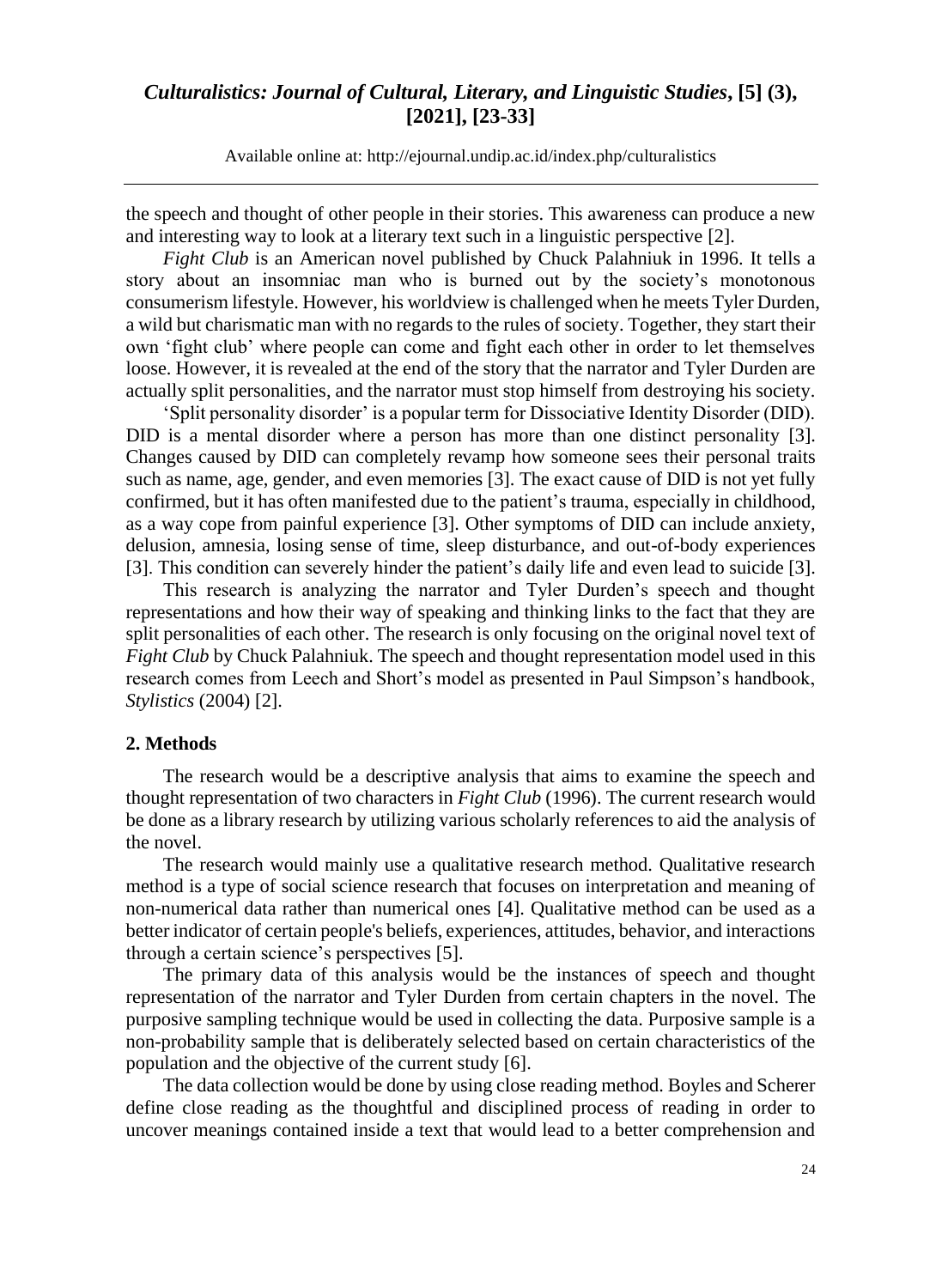Available online at: [http://ejournal.undip.ac.id/index.php/c](http://ejournal.undip.ac.id/index.php/)ulturalistics

the speech and thought of other people in their stories. This awareness can produce a new and interesting way to look at a literary text such in a linguistic perspective [2].

*Fight Club* is an American novel published by Chuck Palahniuk in 1996. It tells a story about an insomniac man who is burned out by the society's monotonous consumerism lifestyle. However, his worldview is challenged when he meets Tyler Durden, a wild but charismatic man with no regards to the rules of society. Together, they start their own 'fight club' where people can come and fight each other in order to let themselves loose. However, it is revealed at the end of the story that the narrator and Tyler Durden are actually split personalities, and the narrator must stop himself from destroying his society.

'Split personality disorder' is a popular term for Dissociative Identity Disorder (DID). DID is a mental disorder where a person has more than one distinct personality [3]. Changes caused by DID can completely revamp how someone sees their personal traits such as name, age, gender, and even memories [3]. The exact cause of DID is not yet fully confirmed, but it has often manifested due to the patient's trauma, especially in childhood, as a way cope from painful experience [3]. Other symptoms of DID can include anxiety, delusion, amnesia, losing sense of time, sleep disturbance, and out-of-body experiences [3]. This condition can severely hinder the patient's daily life and even lead to suicide [3].

This research is analyzing the narrator and Tyler Durden's speech and thought representations and how their way of speaking and thinking links to the fact that they are split personalities of each other. The research is only focusing on the original novel text of *Fight Club* by Chuck Palahniuk. The speech and thought representation model used in this research comes from Leech and Short's model as presented in Paul Simpson's handbook, *Stylistics* (2004) [2].

#### **2. Methods**

The research would be a descriptive analysis that aims to examine the speech and thought representation of two characters in *Fight Club* (1996). The current research would be done as a library research by utilizing various scholarly references to aid the analysis of the novel.

The research would mainly use a qualitative research method. Qualitative research method is a type of social science research that focuses on interpretation and meaning of non-numerical data rather than numerical ones [4]. Qualitative method can be used as a better indicator of certain people's beliefs, experiences, attitudes, behavior, and interactions through a certain science's perspectives [5].

The primary data of this analysis would be the instances of speech and thought representation of the narrator and Tyler Durden from certain chapters in the novel. The purposive sampling technique would be used in collecting the data. Purposive sample is a non-probability sample that is deliberately selected based on certain characteristics of the population and the objective of the current study [6].

The data collection would be done by using close reading method. Boyles and Scherer define close reading as the thoughtful and disciplined process of reading in order to uncover meanings contained inside a text that would lead to a better comprehension and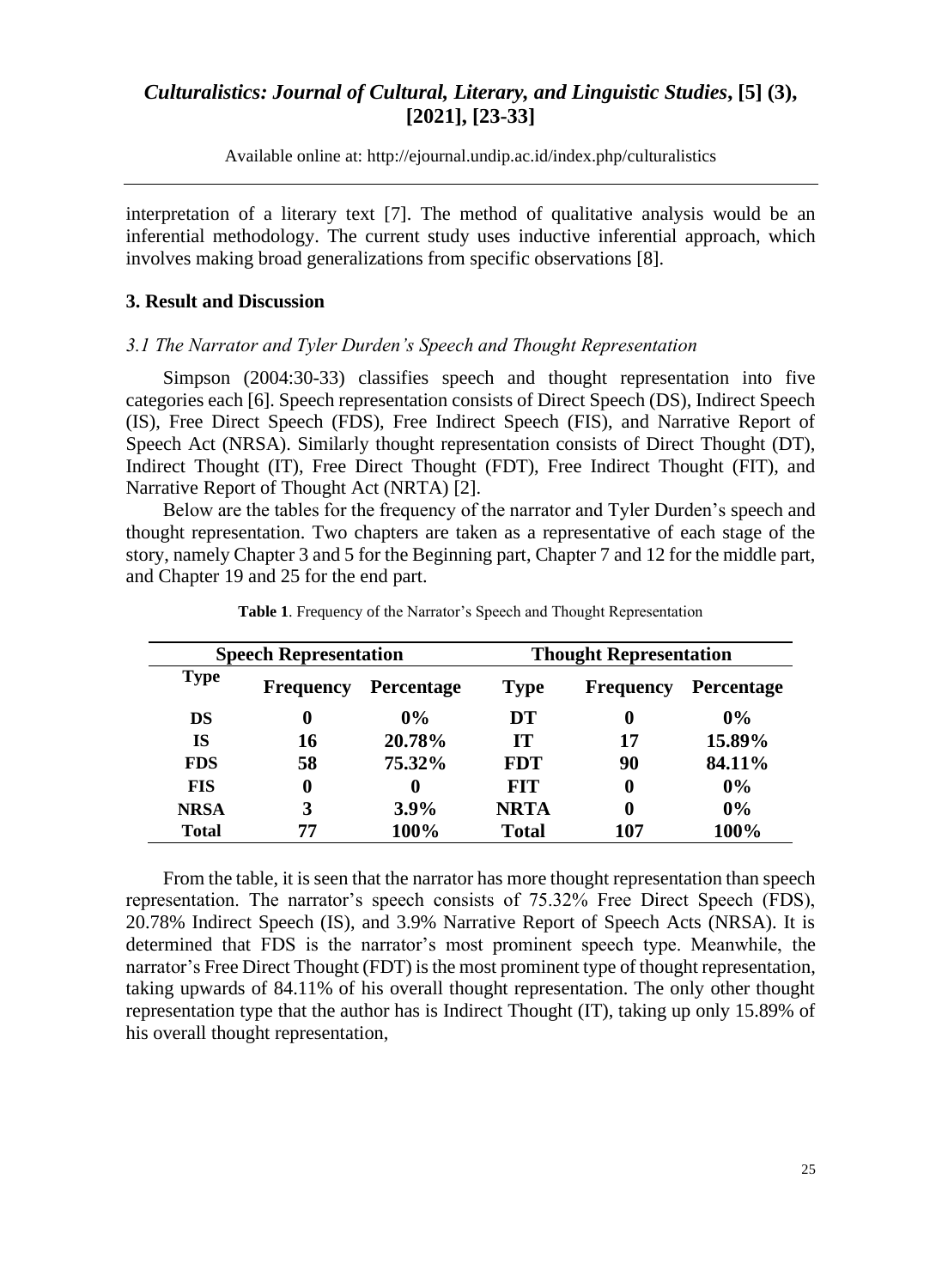Available online at: [http://ejournal.undip.ac.id/index.php/c](http://ejournal.undip.ac.id/index.php/)ulturalistics

interpretation of a literary text [7]. The method of qualitative analysis would be an inferential methodology. The current study uses inductive inferential approach, which involves making broad generalizations from specific observations [8].

#### **3. Result and Discussion**

#### *3.1 The Narrator and Tyler Durden's Speech and Thought Representation*

Simpson (2004:30-33) classifies speech and thought representation into five categories each [6]. Speech representation consists of Direct Speech (DS), Indirect Speech (IS), Free Direct Speech (FDS), Free Indirect Speech (FIS), and Narrative Report of Speech Act (NRSA). Similarly thought representation consists of Direct Thought (DT), Indirect Thought (IT), Free Direct Thought (FDT), Free Indirect Thought (FIT), and Narrative Report of Thought Act (NRTA) [2].

Below are the tables for the frequency of the narrator and Tyler Durden's speech and thought representation. Two chapters are taken as a representative of each stage of the story, namely Chapter 3 and 5 for the Beginning part, Chapter 7 and 12 for the middle part, and Chapter 19 and 25 for the end part.

| <b>Speech Representation</b> |                  |                   | <b>Thought Representation</b> |                  |            |
|------------------------------|------------------|-------------------|-------------------------------|------------------|------------|
| <b>Type</b>                  | <b>Frequency</b> | <b>Percentage</b> | <b>Type</b>                   | <b>Frequency</b> | Percentage |
| DS                           | $\bf{0}$         | $0\%$             | DT                            | 0                | $0\%$      |
| IS                           | 16               | 20.78%            | TТ                            | 17               | 15.89%     |
| <b>FDS</b>                   | 58               | 75.32%            | <b>FDT</b>                    | 90               | 84.11%     |
| <b>FIS</b>                   | 0                | $\mathbf 0$       | <b>FIT</b>                    | 0                | $0\%$      |
| <b>NRSA</b>                  | 3                | $3.9\%$           | <b>NRTA</b>                   | 0                | $0\%$      |
| <b>Total</b>                 | 77               | 100%              | <b>Total</b>                  | 107              | 100%       |

**Table 1**. Frequency of the Narrator's Speech and Thought Representation

From the table, it is seen that the narrator has more thought representation than speech representation. The narrator's speech consists of 75.32% Free Direct Speech (FDS), 20.78% Indirect Speech (IS), and 3.9% Narrative Report of Speech Acts (NRSA). It is determined that FDS is the narrator's most prominent speech type. Meanwhile, the narrator's Free Direct Thought (FDT) is the most prominent type of thought representation, taking upwards of 84.11% of his overall thought representation. The only other thought representation type that the author has is Indirect Thought (IT), taking up only 15.89% of his overall thought representation,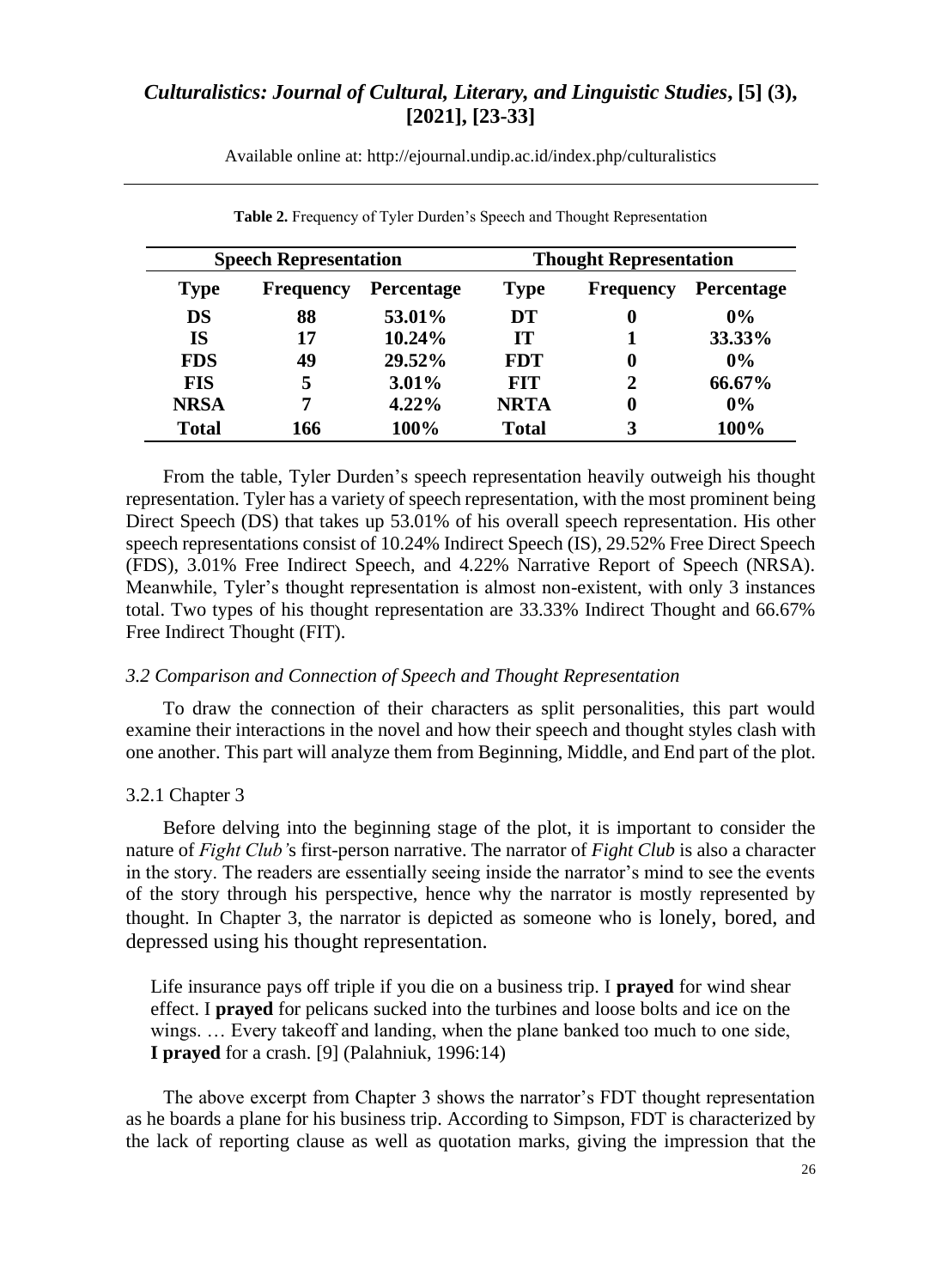| <b>Speech Representation</b> |                  |                   | <b>Thought Representation</b> |                  |                   |
|------------------------------|------------------|-------------------|-------------------------------|------------------|-------------------|
| <b>Type</b>                  | <b>Frequency</b> | <b>Percentage</b> | <b>Type</b>                   | <b>Frequency</b> | <b>Percentage</b> |
| <b>DS</b>                    | 88               | 53.01%            | DT                            | 0                | $0\%$             |
| IS                           | 17               | 10.24%            | <b>IT</b>                     | 1                | 33.33%            |
| <b>FDS</b>                   | 49               | 29.52%            | <b>FDT</b>                    | $\bf{0}$         | $0\%$             |
| <b>FIS</b>                   | 5                | $3.01\%$          | <b>FIT</b>                    | 2                | 66.67%            |
| <b>NRSA</b>                  | 7                | $4.22\%$          | <b>NRTA</b>                   | 0                | $0\%$             |
| <b>Total</b>                 | 166              | 100%              | <b>Total</b>                  | 3                | 100%              |

Available online at: [http://ejournal.undip.ac.id/index.php/c](http://ejournal.undip.ac.id/index.php/)ulturalistics

From the table, Tyler Durden's speech representation heavily outweigh his thought representation. Tyler has a variety of speech representation, with the most prominent being Direct Speech (DS) that takes up 53.01% of his overall speech representation. His other speech representations consist of 10.24% Indirect Speech (IS), 29.52% Free Direct Speech (FDS), 3.01% Free Indirect Speech, and 4.22% Narrative Report of Speech (NRSA). Meanwhile, Tyler's thought representation is almost non-existent, with only 3 instances total. Two types of his thought representation are 33.33% Indirect Thought and 66.67% Free Indirect Thought (FIT).

### **Table 2.** Frequency of Tyler Durden's Speech and Thought Representation

#### *3.2 Comparison and Connection of Speech and Thought Representation*

To draw the connection of their characters as split personalities, this part would examine their interactions in the novel and how their speech and thought styles clash with one another. This part will analyze them from Beginning, Middle, and End part of the plot.

### 3.2.1 Chapter 3

Before delving into the beginning stage of the plot, it is important to consider the nature of *Fight Club'*s first-person narrative. The narrator of *Fight Club* is also a character in the story. The readers are essentially seeing inside the narrator's mind to see the events of the story through his perspective, hence why the narrator is mostly represented by thought. In Chapter 3, the narrator is depicted as someone who is lonely, bored, and depressed using his thought representation.

Life insurance pays off triple if you die on a business trip. I **prayed** for wind shear effect. I **prayed** for pelicans sucked into the turbines and loose bolts and ice on the wings. … Every takeoff and landing, when the plane banked too much to one side, **I prayed** for a crash. [9] (Palahniuk, 1996:14)

The above excerpt from Chapter 3 shows the narrator's FDT thought representation as he boards a plane for his business trip. According to Simpson, FDT is characterized by the lack of reporting clause as well as quotation marks, giving the impression that the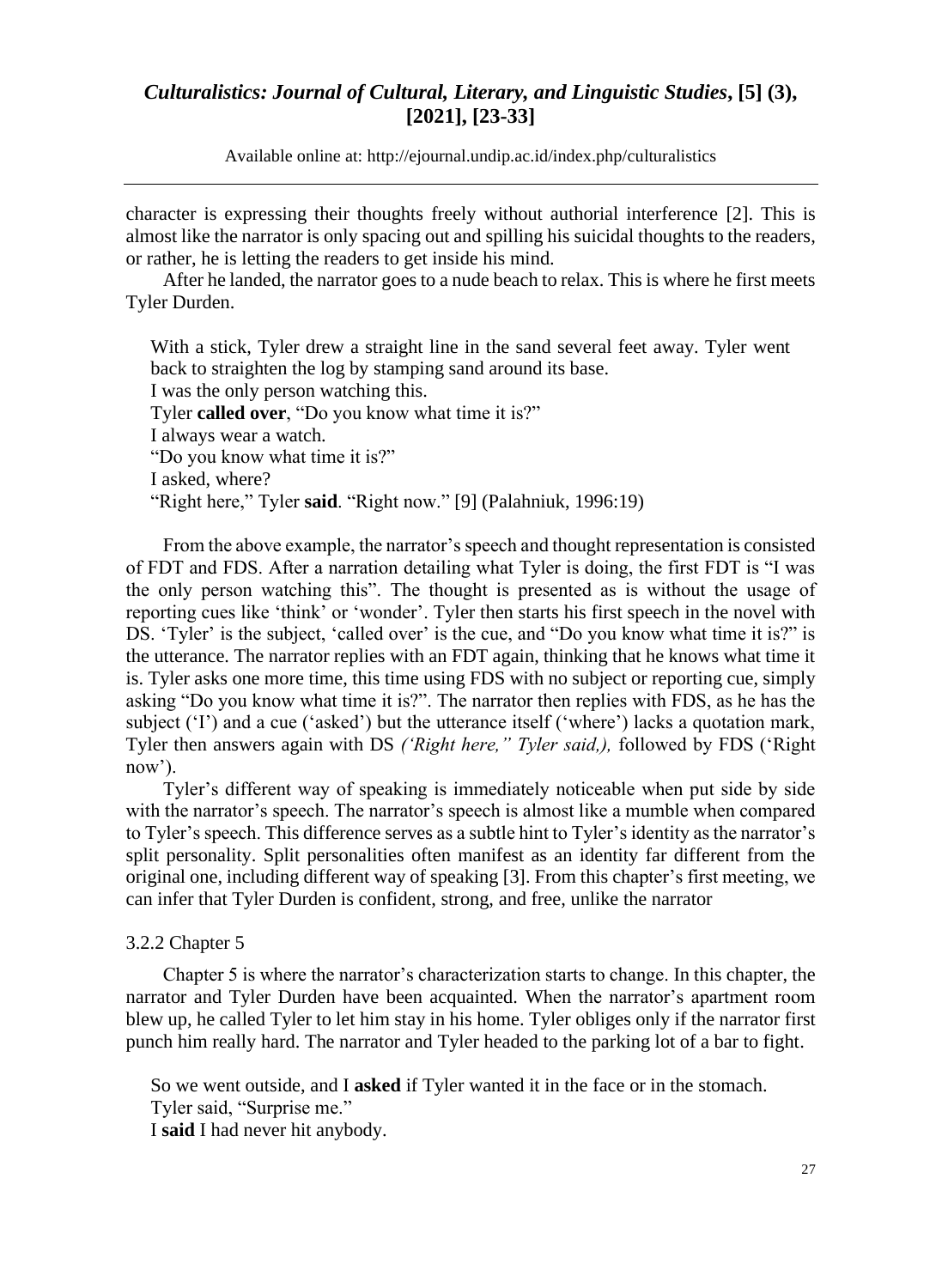Available online at: [http://ejournal.undip.ac.id/index.php/c](http://ejournal.undip.ac.id/index.php/)ulturalistics

character is expressing their thoughts freely without authorial interference [2]. This is almost like the narrator is only spacing out and spilling his suicidal thoughts to the readers, or rather, he is letting the readers to get inside his mind.

After he landed, the narrator goes to a nude beach to relax. This is where he first meets Tyler Durden.

With a stick, Tyler drew a straight line in the sand several feet away. Tyler went back to straighten the log by stamping sand around its base. I was the only person watching this. Tyler **called over**, "Do you know what time it is?" I always wear a watch. "Do you know what time it is?" I asked, where? "Right here," Tyler **said**. "Right now." [9] (Palahniuk, 1996:19)

From the above example, the narrator's speech and thought representation is consisted of FDT and FDS. After a narration detailing what Tyler is doing, the first FDT is "I was the only person watching this". The thought is presented as is without the usage of reporting cues like 'think' or 'wonder'. Tyler then starts his first speech in the novel with DS. 'Tyler' is the subject, 'called over' is the cue, and "Do you know what time it is?" is the utterance. The narrator replies with an FDT again, thinking that he knows what time it is. Tyler asks one more time, this time using FDS with no subject or reporting cue, simply asking "Do you know what time it is?". The narrator then replies with FDS, as he has the subject ('I') and a cue ('asked') but the utterance itself ('where') lacks a quotation mark, Tyler then answers again with DS *('Right here," Tyler said,),* followed by FDS ('Right now').

Tyler's different way of speaking is immediately noticeable when put side by side with the narrator's speech. The narrator's speech is almost like a mumble when compared to Tyler's speech. This difference serves as a subtle hint to Tyler's identity as the narrator's split personality. Split personalities often manifest as an identity far different from the original one, including different way of speaking [3]. From this chapter's first meeting, we can infer that Tyler Durden is confident, strong, and free, unlike the narrator

#### 3.2.2 Chapter 5

Chapter 5 is where the narrator's characterization starts to change. In this chapter, the narrator and Tyler Durden have been acquainted. When the narrator's apartment room blew up, he called Tyler to let him stay in his home. Tyler obliges only if the narrator first punch him really hard. The narrator and Tyler headed to the parking lot of a bar to fight.

So we went outside, and I **asked** if Tyler wanted it in the face or in the stomach. Tyler said, "Surprise me."

I **said** I had never hit anybody.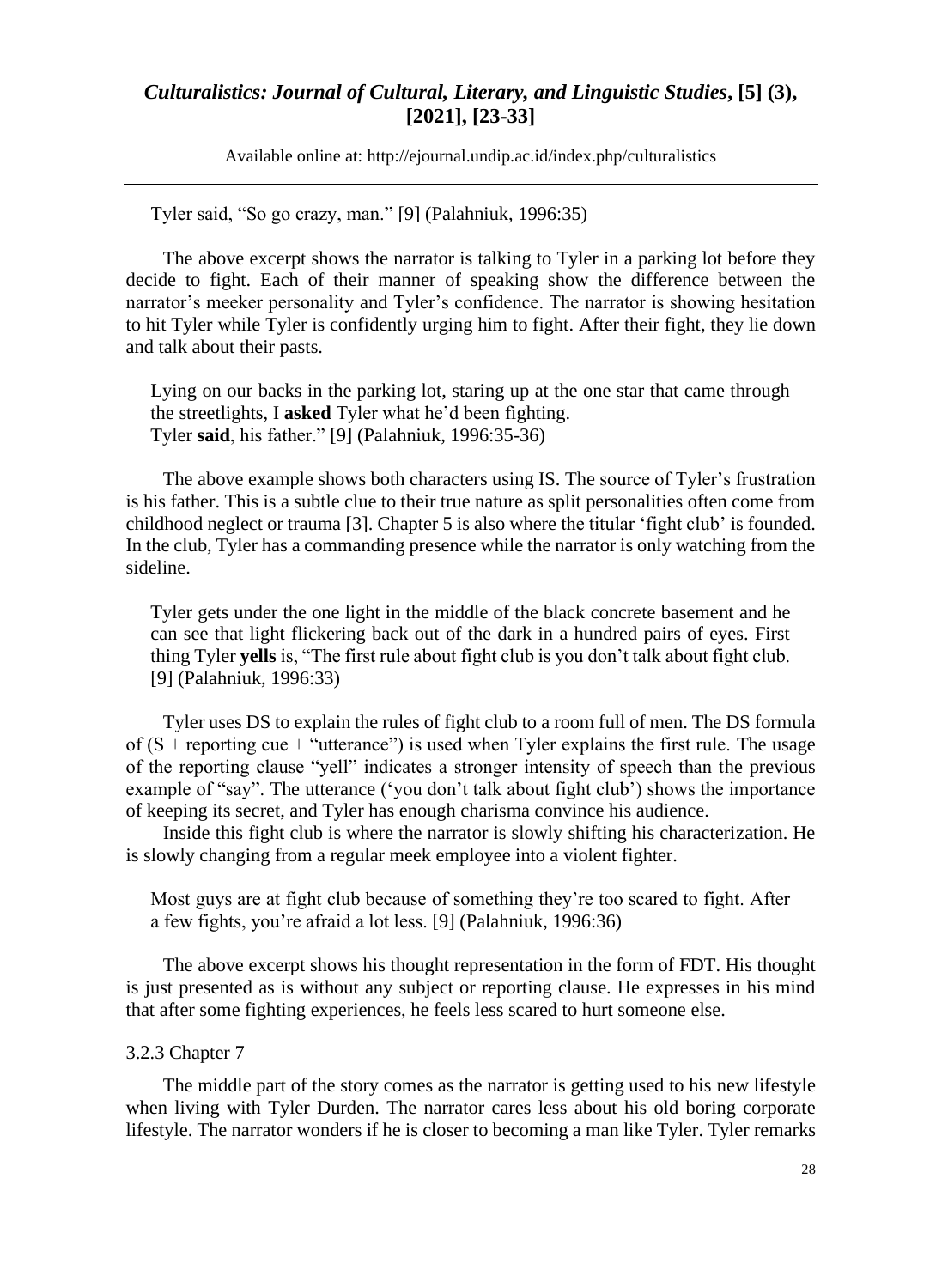Available online at: [http://ejournal.undip.ac.id/index.php/c](http://ejournal.undip.ac.id/index.php/)ulturalistics

Tyler said, "So go crazy, man." [9] (Palahniuk, 1996:35)

The above excerpt shows the narrator is talking to Tyler in a parking lot before they decide to fight. Each of their manner of speaking show the difference between the narrator's meeker personality and Tyler's confidence. The narrator is showing hesitation to hit Tyler while Tyler is confidently urging him to fight. After their fight, they lie down and talk about their pasts.

Lying on our backs in the parking lot, staring up at the one star that came through the streetlights, I **asked** Tyler what he'd been fighting. Tyler **said**, his father." [9] (Palahniuk, 1996:35-36)

The above example shows both characters using IS. The source of Tyler's frustration is his father. This is a subtle clue to their true nature as split personalities often come from childhood neglect or trauma [3]. Chapter 5 is also where the titular 'fight club' is founded. In the club, Tyler has a commanding presence while the narrator is only watching from the sideline.

Tyler gets under the one light in the middle of the black concrete basement and he can see that light flickering back out of the dark in a hundred pairs of eyes. First thing Tyler **yells** is, "The first rule about fight club is you don't talk about fight club. [9] (Palahniuk, 1996:33)

Tyler uses DS to explain the rules of fight club to a room full of men. The DS formula of  $(S +$  reporting cue + "utterance") is used when Tyler explains the first rule. The usage of the reporting clause "yell" indicates a stronger intensity of speech than the previous example of "say". The utterance ('you don't talk about fight club') shows the importance of keeping its secret, and Tyler has enough charisma convince his audience.

Inside this fight club is where the narrator is slowly shifting his characterization. He is slowly changing from a regular meek employee into a violent fighter.

Most guys are at fight club because of something they're too scared to fight. After a few fights, you're afraid a lot less. [9] (Palahniuk, 1996:36)

The above excerpt shows his thought representation in the form of FDT. His thought is just presented as is without any subject or reporting clause. He expresses in his mind that after some fighting experiences, he feels less scared to hurt someone else.

### 3.2.3 Chapter 7

The middle part of the story comes as the narrator is getting used to his new lifestyle when living with Tyler Durden. The narrator cares less about his old boring corporate lifestyle. The narrator wonders if he is closer to becoming a man like Tyler. Tyler remarks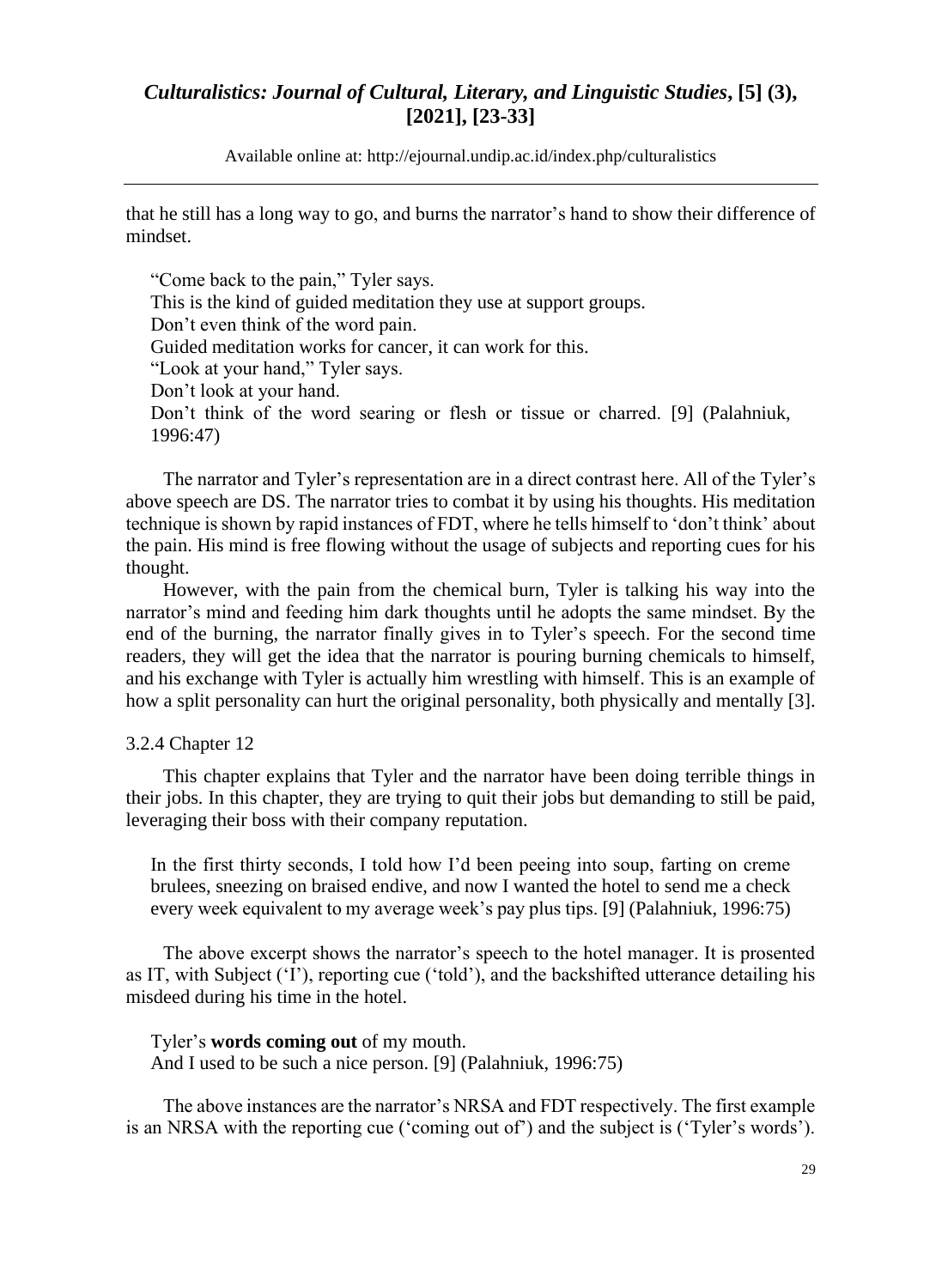Available online at: [http://ejournal.undip.ac.id/index.php/c](http://ejournal.undip.ac.id/index.php/)ulturalistics

that he still has a long way to go, and burns the narrator's hand to show their difference of mindset.

"Come back to the pain," Tyler says. This is the kind of guided meditation they use at support groups. Don't even think of the word pain. Guided meditation works for cancer, it can work for this. "Look at your hand," Tyler says. Don't look at your hand. Don't think of the word searing or flesh or tissue or charred. [9] (Palahniuk, 1996:47)

The narrator and Tyler's representation are in a direct contrast here. All of the Tyler's above speech are DS. The narrator tries to combat it by using his thoughts. His meditation technique is shown by rapid instances of FDT, where he tells himself to 'don't think' about the pain. His mind is free flowing without the usage of subjects and reporting cues for his thought.

However, with the pain from the chemical burn, Tyler is talking his way into the narrator's mind and feeding him dark thoughts until he adopts the same mindset. By the end of the burning, the narrator finally gives in to Tyler's speech. For the second time readers, they will get the idea that the narrator is pouring burning chemicals to himself, and his exchange with Tyler is actually him wrestling with himself. This is an example of how a split personality can hurt the original personality, both physically and mentally [3].

#### 3.2.4 Chapter 12

This chapter explains that Tyler and the narrator have been doing terrible things in their jobs. In this chapter, they are trying to quit their jobs but demanding to still be paid, leveraging their boss with their company reputation.

In the first thirty seconds, I told how I'd been peeing into soup, farting on creme brulees, sneezing on braised endive, and now I wanted the hotel to send me a check every week equivalent to my average week's pay plus tips. [9] (Palahniuk, 1996:75)

The above excerpt shows the narrator's speech to the hotel manager. It is prosented as IT, with Subject ('I'), reporting cue ('told'), and the backshifted utterance detailing his misdeed during his time in the hotel.

### Tyler's **words coming out** of my mouth.

And I used to be such a nice person. [9] (Palahniuk, 1996:75)

The above instances are the narrator's NRSA and FDT respectively. The first example is an NRSA with the reporting cue ('coming out of') and the subject is ('Tyler's words').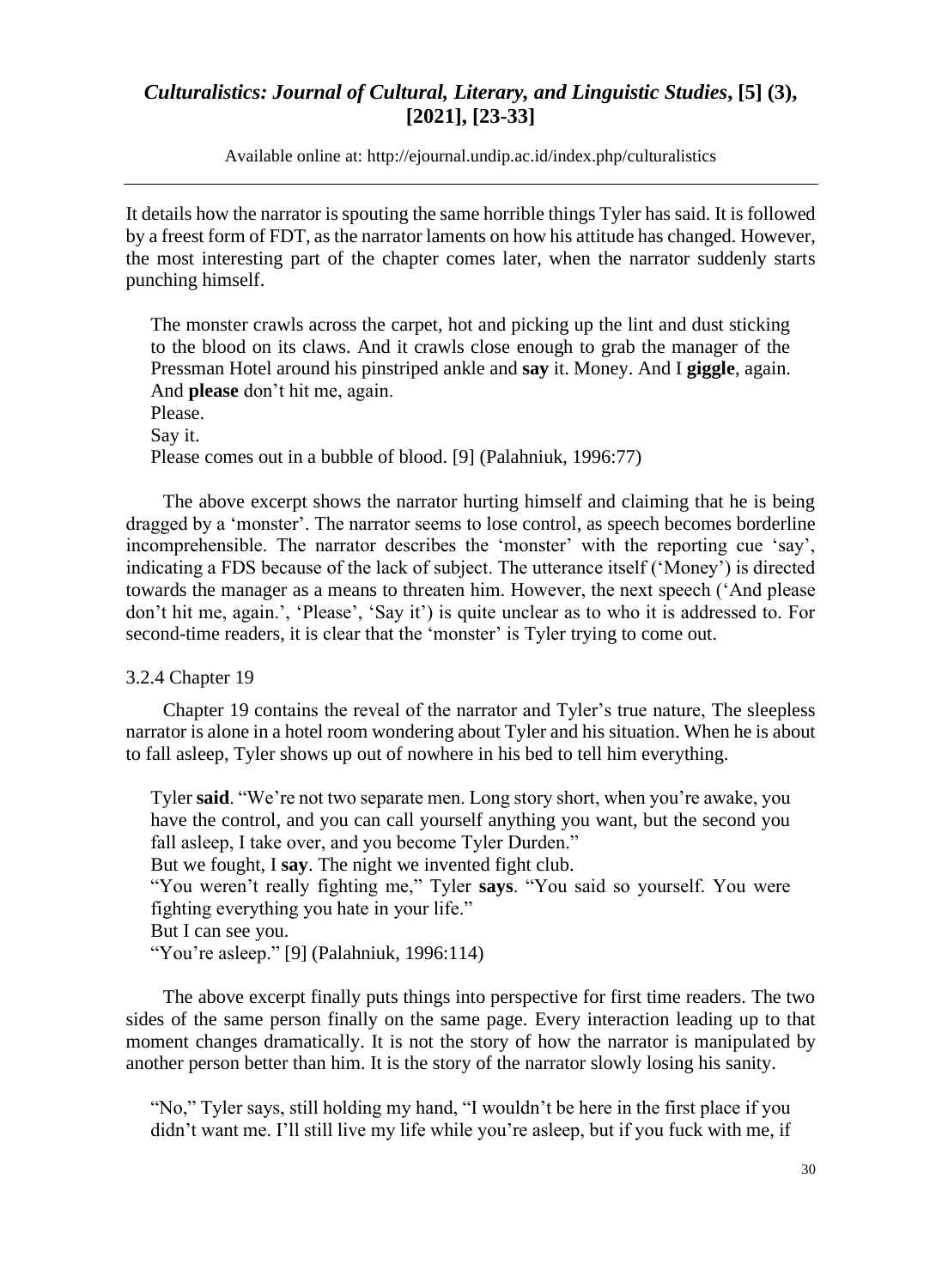Available online at: [http://ejournal.undip.ac.id/index.php/c](http://ejournal.undip.ac.id/index.php/)ulturalistics

It details how the narrator is spouting the same horrible things Tyler has said. It is followed by a freest form of FDT, as the narrator laments on how his attitude has changed. However, the most interesting part of the chapter comes later, when the narrator suddenly starts punching himself.

The monster crawls across the carpet, hot and picking up the lint and dust sticking to the blood on its claws. And it crawls close enough to grab the manager of the Pressman Hotel around his pinstriped ankle and **say** it. Money. And I **giggle**, again. And **please** don't hit me, again. Please. Say it. Please comes out in a bubble of blood. [9] (Palahniuk, 1996:77)

The above excerpt shows the narrator hurting himself and claiming that he is being dragged by a 'monster'. The narrator seems to lose control, as speech becomes borderline incomprehensible. The narrator describes the 'monster' with the reporting cue 'say', indicating a FDS because of the lack of subject. The utterance itself ('Money') is directed towards the manager as a means to threaten him. However, the next speech ('And please don't hit me, again.', 'Please', 'Say it') is quite unclear as to who it is addressed to. For second-time readers, it is clear that the 'monster' is Tyler trying to come out.

3.2.4 Chapter 19

Chapter 19 contains the reveal of the narrator and Tyler's true nature, The sleepless narrator is alone in a hotel room wondering about Tyler and his situation. When he is about to fall asleep, Tyler shows up out of nowhere in his bed to tell him everything.

Tyler **said**. "We're not two separate men. Long story short, when you're awake, you have the control, and you can call yourself anything you want, but the second you fall asleep, I take over, and you become Tyler Durden." But we fought, I **say**. The night we invented fight club. "You weren't really fighting me," Tyler **says**. "You said so yourself. You were fighting everything you hate in your life." But I can see you.

"You're asleep." [9] (Palahniuk, 1996:114)

The above excerpt finally puts things into perspective for first time readers. The two sides of the same person finally on the same page. Every interaction leading up to that moment changes dramatically. It is not the story of how the narrator is manipulated by another person better than him. It is the story of the narrator slowly losing his sanity.

"No," Tyler says, still holding my hand, "I wouldn't be here in the first place if you didn't want me. I'll still live my life while you're asleep, but if you fuck with me, if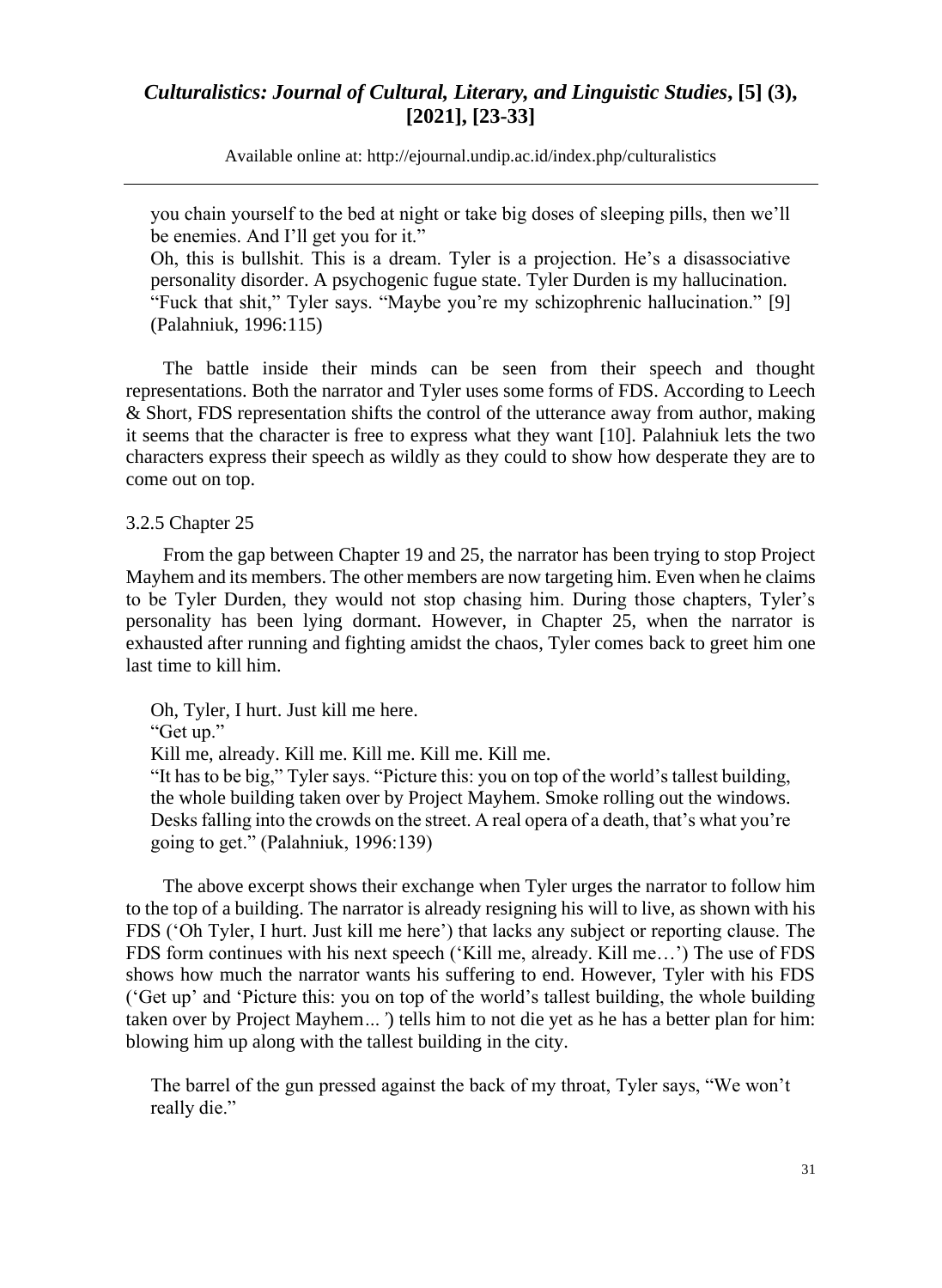Available online at: [http://ejournal.undip.ac.id/index.php/c](http://ejournal.undip.ac.id/index.php/)ulturalistics

you chain yourself to the bed at night or take big doses of sleeping pills, then we'll be enemies. And I'll get you for it."

Oh, this is bullshit. This is a dream. Tyler is a projection. He's a disassociative personality disorder. A psychogenic fugue state. Tyler Durden is my hallucination. "Fuck that shit," Tyler says. "Maybe you're my schizophrenic hallucination." [9] (Palahniuk, 1996:115)

The battle inside their minds can be seen from their speech and thought representations. Both the narrator and Tyler uses some forms of FDS. According to Leech & Short, FDS representation shifts the control of the utterance away from author, making it seems that the character is free to express what they want [10]. Palahniuk lets the two characters express their speech as wildly as they could to show how desperate they are to come out on top.

#### 3.2.5 Chapter 25

From the gap between Chapter 19 and 25, the narrator has been trying to stop Project Mayhem and its members. The other members are now targeting him. Even when he claims to be Tyler Durden, they would not stop chasing him. During those chapters, Tyler's personality has been lying dormant. However, in Chapter 25, when the narrator is exhausted after running and fighting amidst the chaos, Tyler comes back to greet him one last time to kill him.

Oh, Tyler, I hurt. Just kill me here.

"Get up."

Kill me, already. Kill me. Kill me. Kill me. Kill me.

"It has to be big," Tyler says. "Picture this: you on top of the world's tallest building, the whole building taken over by Project Mayhem. Smoke rolling out the windows. Desks falling into the crowds on the street. A real opera of a death, that's what you're going to get." (Palahniuk, 1996:139)

The above excerpt shows their exchange when Tyler urges the narrator to follow him to the top of a building. The narrator is already resigning his will to live, as shown with his FDS ('Oh Tyler, I hurt. Just kill me here') that lacks any subject or reporting clause. The FDS form continues with his next speech ('Kill me, already. Kill me…') The use of FDS shows how much the narrator wants his suffering to end. However, Tyler with his FDS ('Get up' and 'Picture this: you on top of the world's tallest building, the whole building taken over by Project Mayhem*…'*) tells him to not die yet as he has a better plan for him: blowing him up along with the tallest building in the city.

The barrel of the gun pressed against the back of my throat, Tyler says, "We won't really die."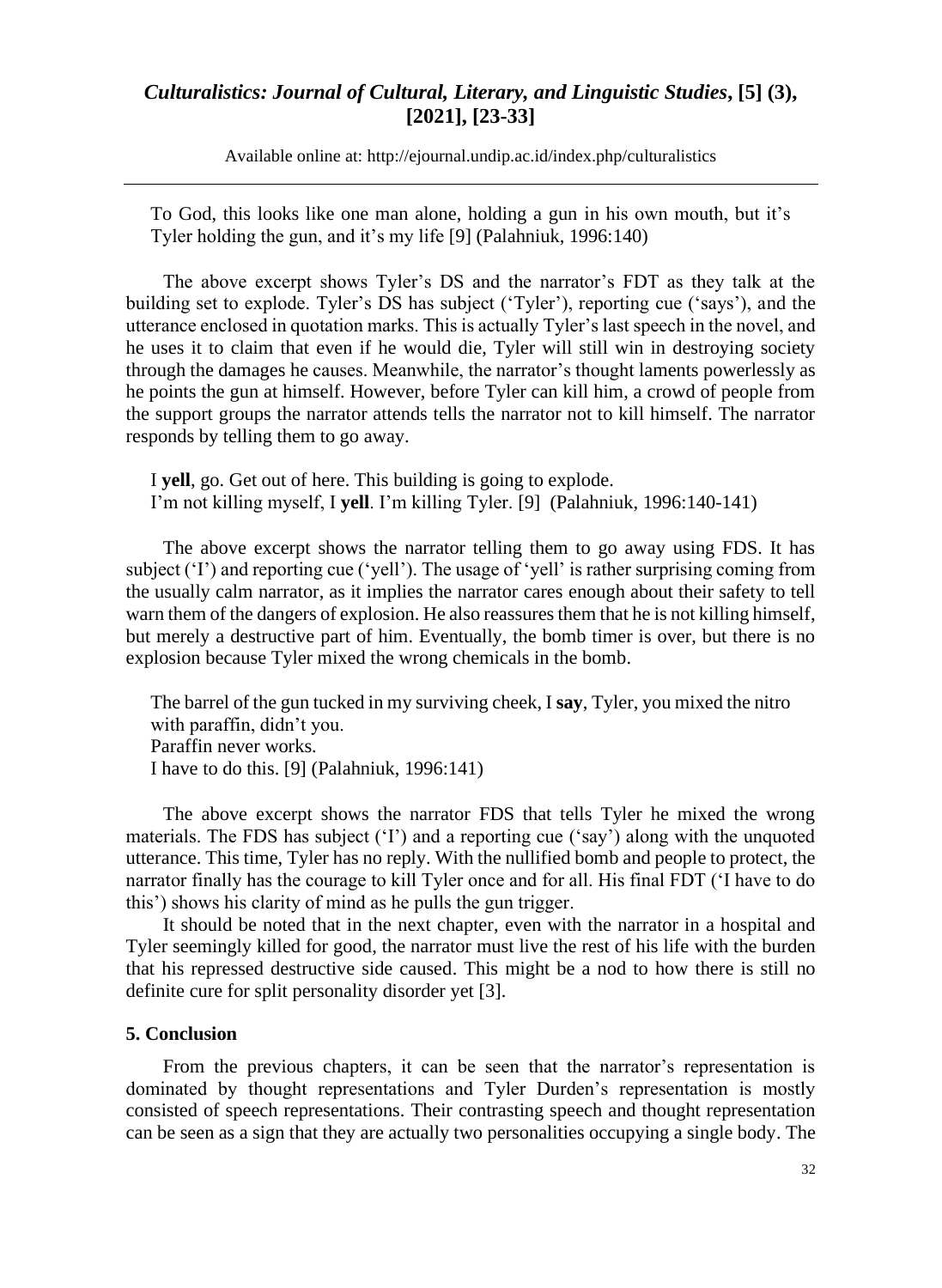Available online at: [http://ejournal.undip.ac.id/index.php/c](http://ejournal.undip.ac.id/index.php/)ulturalistics

To God, this looks like one man alone, holding a gun in his own mouth, but it's Tyler holding the gun, and it's my life [9] (Palahniuk, 1996:140)

The above excerpt shows Tyler's DS and the narrator's FDT as they talk at the building set to explode. Tyler's DS has subject ('Tyler'), reporting cue ('says'), and the utterance enclosed in quotation marks. This is actually Tyler's last speech in the novel, and he uses it to claim that even if he would die, Tyler will still win in destroying society through the damages he causes. Meanwhile, the narrator's thought laments powerlessly as he points the gun at himself. However, before Tyler can kill him, a crowd of people from the support groups the narrator attends tells the narrator not to kill himself. The narrator responds by telling them to go away.

I **yell**, go. Get out of here. This building is going to explode. I'm not killing myself, I **yell**. I'm killing Tyler. [9] (Palahniuk, 1996:140-141)

The above excerpt shows the narrator telling them to go away using FDS. It has subject ('I') and reporting cue ('yell'). The usage of 'yell' is rather surprising coming from the usually calm narrator, as it implies the narrator cares enough about their safety to tell warn them of the dangers of explosion. He also reassures them that he is not killing himself, but merely a destructive part of him. Eventually, the bomb timer is over, but there is no explosion because Tyler mixed the wrong chemicals in the bomb.

The barrel of the gun tucked in my surviving cheek, I **say**, Tyler, you mixed the nitro with paraffin, didn't you. Paraffin never works. I have to do this. [9] (Palahniuk, 1996:141)

The above excerpt shows the narrator FDS that tells Tyler he mixed the wrong materials. The FDS has subject ('I') and a reporting cue ('say') along with the unquoted utterance. This time, Tyler has no reply. With the nullified bomb and people to protect, the narrator finally has the courage to kill Tyler once and for all. His final FDT ('I have to do this') shows his clarity of mind as he pulls the gun trigger.

It should be noted that in the next chapter, even with the narrator in a hospital and Tyler seemingly killed for good, the narrator must live the rest of his life with the burden that his repressed destructive side caused. This might be a nod to how there is still no definite cure for split personality disorder yet [3].

#### **5. Conclusion**

From the previous chapters, it can be seen that the narrator's representation is dominated by thought representations and Tyler Durden's representation is mostly consisted of speech representations. Their contrasting speech and thought representation can be seen as a sign that they are actually two personalities occupying a single body. The